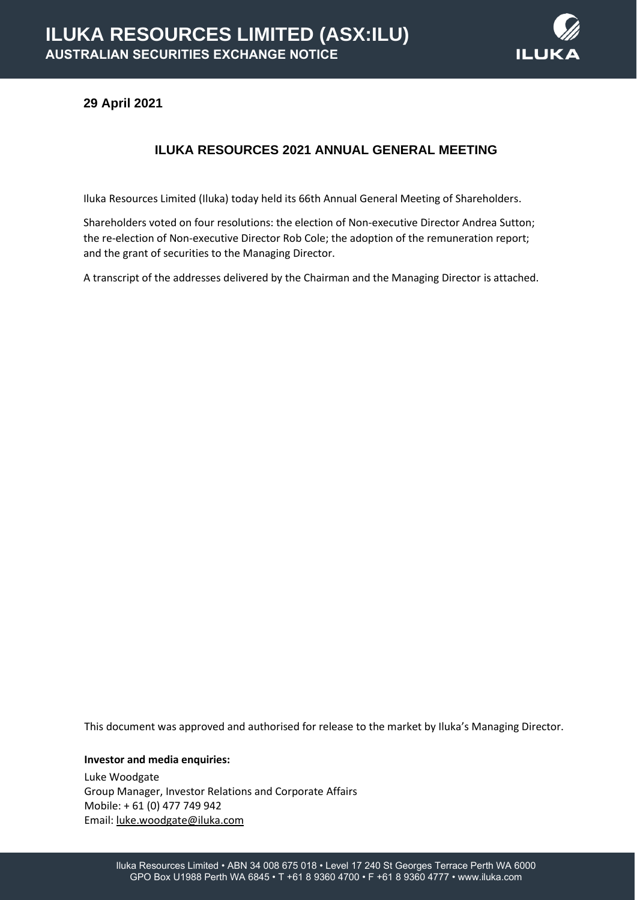

## **29 April 2021**

## **ILUKA RESOURCES 2021 ANNUAL GENERAL MEETING**

Iluka Resources Limited (Iluka) today held its 66th Annual General Meeting of Shareholders.

Shareholders voted on four resolutions: the election of Non-executive Director Andrea Sutton; the re-election of Non-executive Director Rob Cole; the adoption of the remuneration report; and the grant of securities to the Managing Director.

A transcript of the addresses delivered by the Chairman and the Managing Director is attached.

This document was approved and authorised for release to the market by Iluka's Managing Director.

**Investor and media enquiries:**

Luke Woodgate Group Manager, Investor Relations and Corporate Affairs Mobile: + 61 (0) 477 749 942 Email[: luke.woodgate@iluka.com](mailto:luke.woodgate@iluka.com)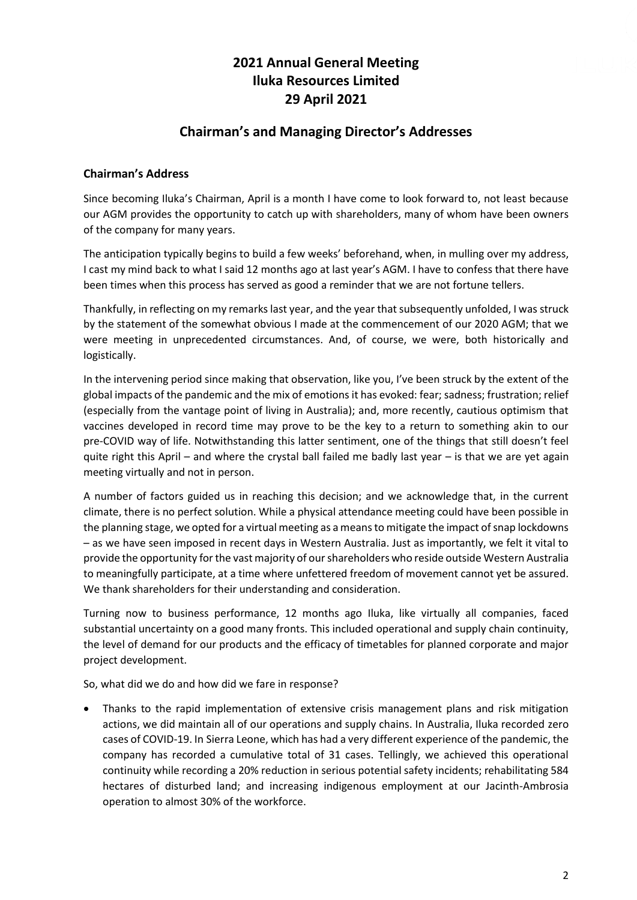# **2021 Annual General Meeting Iluka Resources Limited 29 April 2021**

# **Chairman's and Managing Director's Addresses**

### **Chairman's Address**

Since becoming Iluka's Chairman, April is a month I have come to look forward to, not least because our AGM provides the opportunity to catch up with shareholders, many of whom have been owners of the company for many years.

The anticipation typically begins to build a few weeks' beforehand, when, in mulling over my address, I cast my mind back to what I said 12 months ago at last year's AGM. I have to confess that there have been times when this process has served as good a reminder that we are not fortune tellers.

Thankfully, in reflecting on my remarks last year, and the year that subsequently unfolded, I was struck by the statement of the somewhat obvious I made at the commencement of our 2020 AGM; that we were meeting in unprecedented circumstances. And, of course, we were, both historically and logistically.

In the intervening period since making that observation, like you, I've been struck by the extent of the global impacts of the pandemic and the mix of emotions it has evoked: fear; sadness; frustration; relief (especially from the vantage point of living in Australia); and, more recently, cautious optimism that vaccines developed in record time may prove to be the key to a return to something akin to our pre-COVID way of life. Notwithstanding this latter sentiment, one of the things that still doesn't feel quite right this April – and where the crystal ball failed me badly last year – is that we are yet again meeting virtually and not in person.

A number of factors guided us in reaching this decision; and we acknowledge that, in the current climate, there is no perfect solution. While a physical attendance meeting could have been possible in the planning stage, we opted for a virtual meeting as a means to mitigate the impact of snap lockdowns – as we have seen imposed in recent days in Western Australia. Just as importantly, we felt it vital to provide the opportunity for the vast majority of our shareholders who reside outside Western Australia to meaningfully participate, at a time where unfettered freedom of movement cannot yet be assured. We thank shareholders for their understanding and consideration.

Turning now to business performance, 12 months ago Iluka, like virtually all companies, faced substantial uncertainty on a good many fronts. This included operational and supply chain continuity, the level of demand for our products and the efficacy of timetables for planned corporate and major project development.

So, what did we do and how did we fare in response?

• Thanks to the rapid implementation of extensive crisis management plans and risk mitigation actions, we did maintain all of our operations and supply chains. In Australia, Iluka recorded zero cases of COVID-19. In Sierra Leone, which has had a very different experience of the pandemic, the company has recorded a cumulative total of 31 cases. Tellingly, we achieved this operational continuity while recording a 20% reduction in serious potential safety incidents; rehabilitating 584 hectares of disturbed land; and increasing indigenous employment at our Jacinth-Ambrosia operation to almost 30% of the workforce.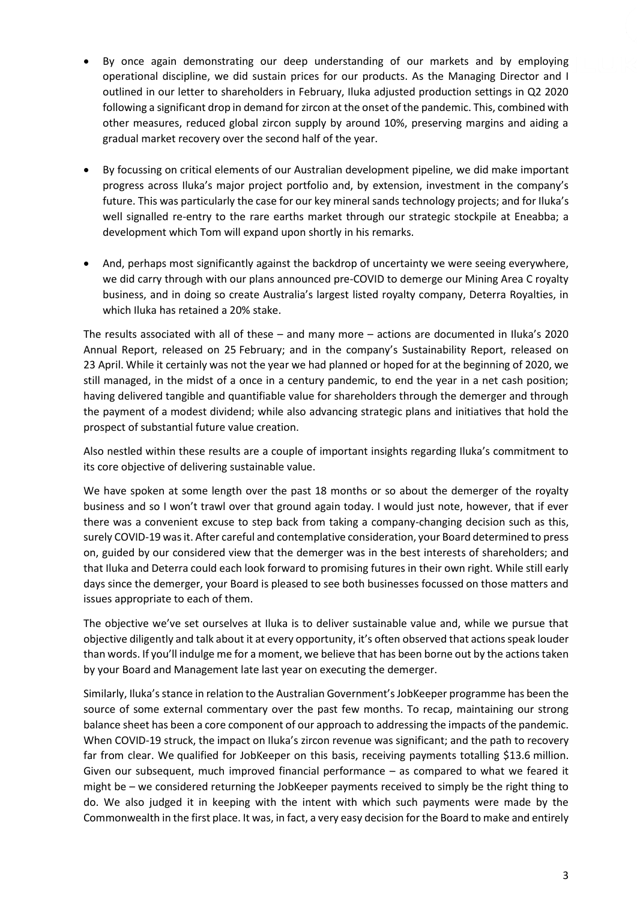- By once again demonstrating our deep understanding of our markets and by employing operational discipline, we did sustain prices for our products. As the Managing Director and I outlined in our letter to shareholders in February, Iluka adjusted production settings in Q2 2020 following a significant drop in demand for zircon at the onset of the pandemic. This, combined with other measures, reduced global zircon supply by around 10%, preserving margins and aiding a gradual market recovery over the second half of the year.
- By focussing on critical elements of our Australian development pipeline, we did make important progress across Iluka's major project portfolio and, by extension, investment in the company's future. This was particularly the case for our key mineral sands technology projects; and for Iluka's well signalled re-entry to the rare earths market through our strategic stockpile at Eneabba; a development which Tom will expand upon shortly in his remarks.
- And, perhaps most significantly against the backdrop of uncertainty we were seeing everywhere, we did carry through with our plans announced pre-COVID to demerge our Mining Area C royalty business, and in doing so create Australia's largest listed royalty company, Deterra Royalties, in which Iluka has retained a 20% stake.

The results associated with all of these – and many more – actions are documented in Iluka's 2020 Annual Report, released on 25 February; and in the company's Sustainability Report, released on 23 April. While it certainly was not the year we had planned or hoped for at the beginning of 2020, we still managed, in the midst of a once in a century pandemic, to end the year in a net cash position; having delivered tangible and quantifiable value for shareholders through the demerger and through the payment of a modest dividend; while also advancing strategic plans and initiatives that hold the prospect of substantial future value creation.

Also nestled within these results are a couple of important insights regarding Iluka's commitment to its core objective of delivering sustainable value.

We have spoken at some length over the past 18 months or so about the demerger of the royalty business and so I won't trawl over that ground again today. I would just note, however, that if ever there was a convenient excuse to step back from taking a company-changing decision such as this, surely COVID-19 was it. After careful and contemplative consideration, your Board determined to press on, guided by our considered view that the demerger was in the best interests of shareholders; and that Iluka and Deterra could each look forward to promising futures in their own right. While still early days since the demerger, your Board is pleased to see both businesses focussed on those matters and issues appropriate to each of them.

The objective we've set ourselves at Iluka is to deliver sustainable value and, while we pursue that objective diligently and talk about it at every opportunity, it's often observed that actions speak louder than words. If you'll indulge me for a moment, we believe that has been borne out by the actions taken by your Board and Management late last year on executing the demerger.

Similarly, Iluka's stance in relation to the Australian Government's JobKeeper programme has been the source of some external commentary over the past few months. To recap, maintaining our strong balance sheet has been a core component of our approach to addressing the impacts of the pandemic. When COVID-19 struck, the impact on Iluka's zircon revenue was significant; and the path to recovery far from clear. We qualified for JobKeeper on this basis, receiving payments totalling \$13.6 million. Given our subsequent, much improved financial performance – as compared to what we feared it might be – we considered returning the JobKeeper payments received to simply be the right thing to do. We also judged it in keeping with the intent with which such payments were made by the Commonwealth in the first place. It was, in fact, a very easy decision for the Board to make and entirely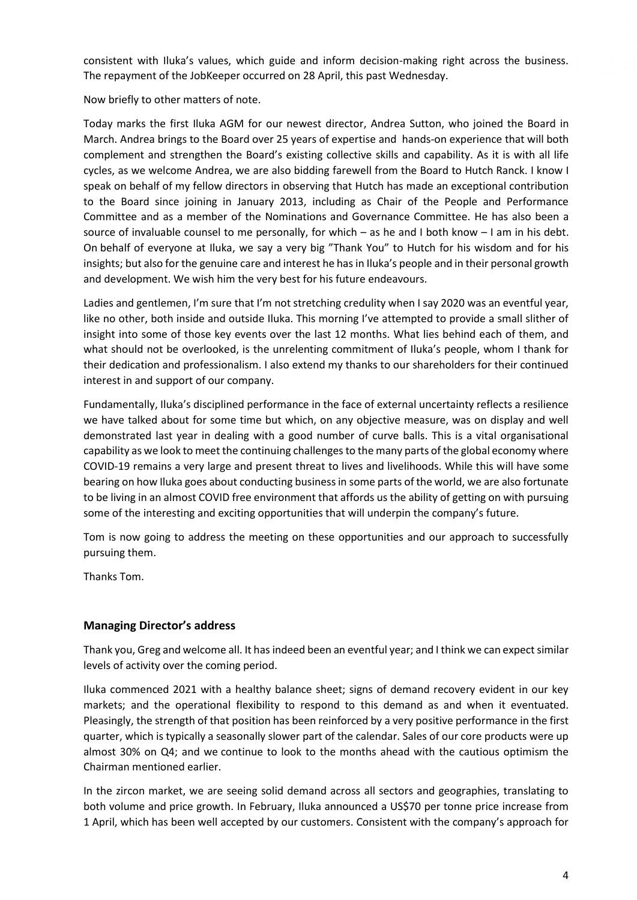consistent with Iluka's values, which guide and inform decision-making right across the business. The repayment of the JobKeeper occurred on 28 April, this past Wednesday.

Now briefly to other matters of note.

Today marks the first Iluka AGM for our newest director, Andrea Sutton, who joined the Board in March. Andrea brings to the Board over 25 years of expertise and hands-on experience that will both complement and strengthen the Board's existing collective skills and capability. As it is with all life cycles, as we welcome Andrea, we are also bidding farewell from the Board to Hutch Ranck. I know I speak on behalf of my fellow directors in observing that Hutch has made an exceptional contribution to the Board since joining in January 2013, including as Chair of the People and Performance Committee and as a member of the Nominations and Governance Committee. He has also been a source of invaluable counsel to me personally, for which – as he and I both know – I am in his debt. On behalf of everyone at Iluka, we say a very big "Thank You" to Hutch for his wisdom and for his insights; but also for the genuine care and interest he has in Iluka's people and in their personal growth and development. We wish him the very best for his future endeavours.

Ladies and gentlemen, I'm sure that I'm not stretching credulity when I say 2020 was an eventful year, like no other, both inside and outside Iluka. This morning I've attempted to provide a small slither of insight into some of those key events over the last 12 months. What lies behind each of them, and what should not be overlooked, is the unrelenting commitment of Iluka's people, whom I thank for their dedication and professionalism. I also extend my thanks to our shareholders for their continued interest in and support of our company.

Fundamentally, Iluka's disciplined performance in the face of external uncertainty reflects a resilience we have talked about for some time but which, on any objective measure, was on display and well demonstrated last year in dealing with a good number of curve balls. This is a vital organisational capability as we look to meet the continuing challenges to the many parts of the global economy where COVID-19 remains a very large and present threat to lives and livelihoods. While this will have some bearing on how Iluka goes about conducting business in some parts of the world, we are also fortunate to be living in an almost COVID free environment that affords us the ability of getting on with pursuing some of the interesting and exciting opportunities that will underpin the company's future.

Tom is now going to address the meeting on these opportunities and our approach to successfully pursuing them.

Thanks Tom.

### **Managing Director's address**

Thank you, Greg and welcome all. It has indeed been an eventful year; and I think we can expect similar levels of activity over the coming period.

Iluka commenced 2021 with a healthy balance sheet; signs of demand recovery evident in our key markets; and the operational flexibility to respond to this demand as and when it eventuated. Pleasingly, the strength of that position has been reinforced by a very positive performance in the first quarter, which is typically a seasonally slower part of the calendar. Sales of our core products were up almost 30% on Q4; and we continue to look to the months ahead with the cautious optimism the Chairman mentioned earlier.

In the zircon market, we are seeing solid demand across all sectors and geographies, translating to both volume and price growth. In February, Iluka announced a US\$70 per tonne price increase from 1 April, which has been well accepted by our customers. Consistent with the company's approach for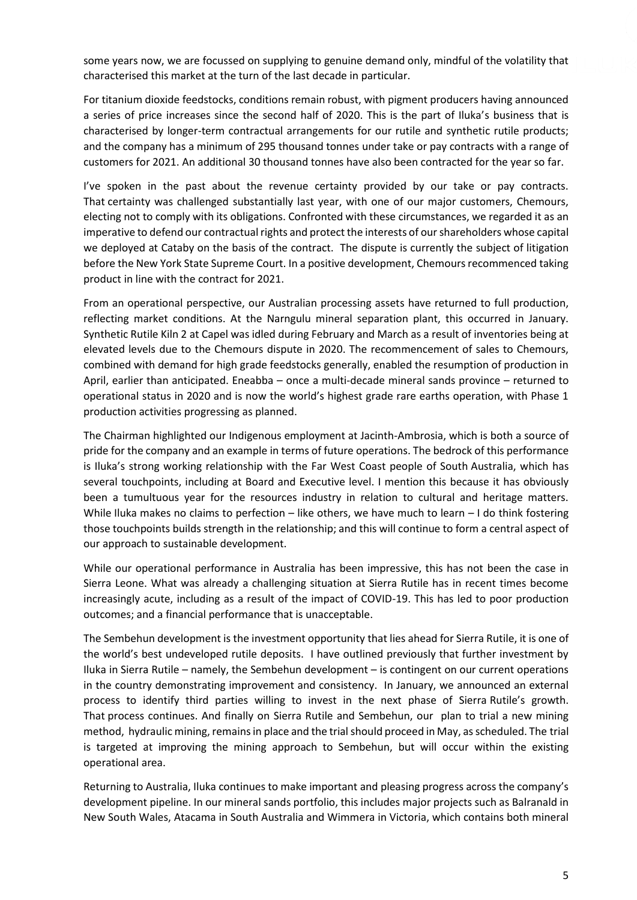some years now, we are focussed on supplying to genuine demand only, mindful of the volatility that characterised this market at the turn of the last decade in particular.

For titanium dioxide feedstocks, conditions remain robust, with pigment producers having announced a series of price increases since the second half of 2020. This is the part of Iluka's business that is characterised by longer-term contractual arrangements for our rutile and synthetic rutile products; and the company has a minimum of 295 thousand tonnes under take or pay contracts with a range of customers for 2021. An additional 30 thousand tonnes have also been contracted for the year so far.

I've spoken in the past about the revenue certainty provided by our take or pay contracts. That certainty was challenged substantially last year, with one of our major customers, Chemours, electing not to comply with its obligations. Confronted with these circumstances, we regarded it as an imperative to defend our contractual rights and protect the interests of our shareholders whose capital we deployed at Cataby on the basis of the contract. The dispute is currently the subject of litigation before the New York State Supreme Court. In a positive development, Chemours recommenced taking product in line with the contract for 2021.

From an operational perspective, our Australian processing assets have returned to full production, reflecting market conditions. At the Narngulu mineral separation plant, this occurred in January. Synthetic Rutile Kiln 2 at Capel was idled during February and March as a result of inventories being at elevated levels due to the Chemours dispute in 2020. The recommencement of sales to Chemours, combined with demand for high grade feedstocks generally, enabled the resumption of production in April, earlier than anticipated. Eneabba – once a multi-decade mineral sands province – returned to operational status in 2020 and is now the world's highest grade rare earths operation, with Phase 1 production activities progressing as planned.

The Chairman highlighted our Indigenous employment at Jacinth-Ambrosia, which is both a source of pride for the company and an example in terms of future operations. The bedrock of this performance is Iluka's strong working relationship with the Far West Coast people of South Australia, which has several touchpoints, including at Board and Executive level. I mention this because it has obviously been a tumultuous year for the resources industry in relation to cultural and heritage matters. While Iluka makes no claims to perfection – like others, we have much to learn – I do think fostering those touchpoints builds strength in the relationship; and this will continue to form a central aspect of our approach to sustainable development.

While our operational performance in Australia has been impressive, this has not been the case in Sierra Leone. What was already a challenging situation at Sierra Rutile has in recent times become increasingly acute, including as a result of the impact of COVID-19. This has led to poor production outcomes; and a financial performance that is unacceptable.

The Sembehun development is the investment opportunity that lies ahead for Sierra Rutile, it is one of the world's best undeveloped rutile deposits. I have outlined previously that further investment by Iluka in Sierra Rutile – namely, the Sembehun development – is contingent on our current operations in the country demonstrating improvement and consistency. In January, we announced an external process to identify third parties willing to invest in the next phase of Sierra Rutile's growth. That process continues. And finally on Sierra Rutile and Sembehun, our plan to trial a new mining method, hydraulic mining, remains in place and the trial should proceed in May, as scheduled. The trial is targeted at improving the mining approach to Sembehun, but will occur within the existing operational area.

Returning to Australia, Iluka continues to make important and pleasing progress across the company's development pipeline. In our mineral sands portfolio, this includes major projects such as Balranald in New South Wales, Atacama in South Australia and Wimmera in Victoria, which contains both mineral